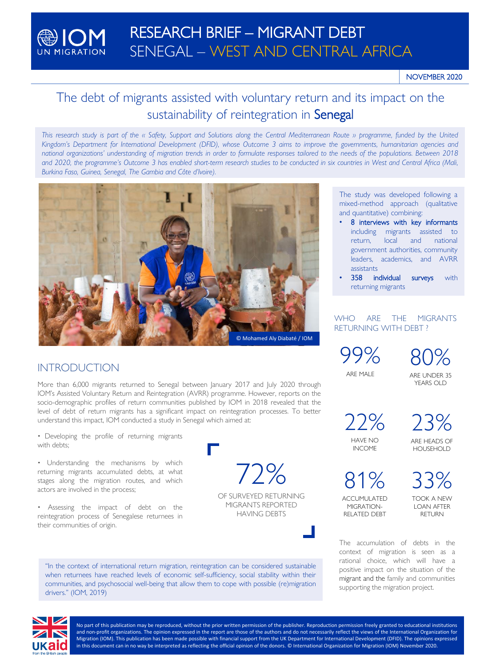

# The debt of migrants assisted with voluntary return and its impact on the sustainability of reintegration in Senegal

This research study is part of the « Safety, Support and Solutions along the Central Mediterranean Route » programme, funded by the United Kingdom's Department for International Development (DFID), whose Outcome 3 aims to improve the governments, humanitarian agencies and national organizations' understanding of migration trends in order to formulate responses tailored to the needs of the populations. Between 2018 and 2020, the programme's Outcome 3 has enabled short-term research studies to be conducted in six countries in West and Central Africa (Mali, *Burkina Faso, Guinea, Senegal, The Gambia and Côte d'Ivoire).*



# INTRODUCTION

More than 6,000 migrants returned to Senegal between January 2017 and July 2020 through IOM's Assisted Voluntary Return and Reintegration (AVRR) programme. However, reports on the socio-demographic profiles of return communities published by IOM in 2018 revealed that the level of debt of return migrants has a significant impact on reintegration processes. To better understand this impact, IOM conducted a study in Senegal which aimed at:

• Developing the profile of returning migrants with debts;

• Understanding the mechanisms by which returning migrants accumulated debts, at what stages along the migration routes, and which actors are involved in the process;

• Assessing the impact of debt on the reintegration process of Senegalese returnees in their communities of origin.

72%

OF SURVEYED RETURNING MIGRANTS REPORTED HAVING DEBTS

"In the context of international return migration, reintegration can be considered sustainable when returnees have reached levels of economic self-sufficiency, social stability within their communities, and psychosocial well-being that allow them to cope with possible (re)migration drivers." (IOM, 2019)

The study was developed following a mixed-method approach (qualitative and quantitative) combining:

- 8 interviews with key informants including migrants assisted to return, local and national government authorities, community leaders, academics, and AVRR assistants
- 358 individual surveys with returning migrants

# WHO ARE THE MIGRANTS RETURNING WITH DEBT ?

99% ARE MALE

80% ARE UNDER 35 YEARS OLD

22% HAVE NO INCOME

23% ARE HEADS OF HOUSEHOLD

81% ACCUMULATED MIGRATION-

RELATED DEBT

33% TOOK A NEW LOAN AFTER RETURN

The accumulation of debts in the context of migration is seen as a rational choice, which will have a positive impact on the situation of the migrant and the family and communities supporting the migration project.



No part of this publication may be reproduced, without the prior written permission of the publisher. Reproduction permission freely granted to educational institutions and non-profit organizations. The opinion expressed in the report are those of the authors and do not necessarily reflect the views of the International Organization for Migration (IOM). This publication has been made possible with financial support from the UK Department for International Development (DFID). The opinions expressed in this document can in no way be interpreted as reflecting the official opinion of the donors. © International Organization for Migration (IOM) November 2020.